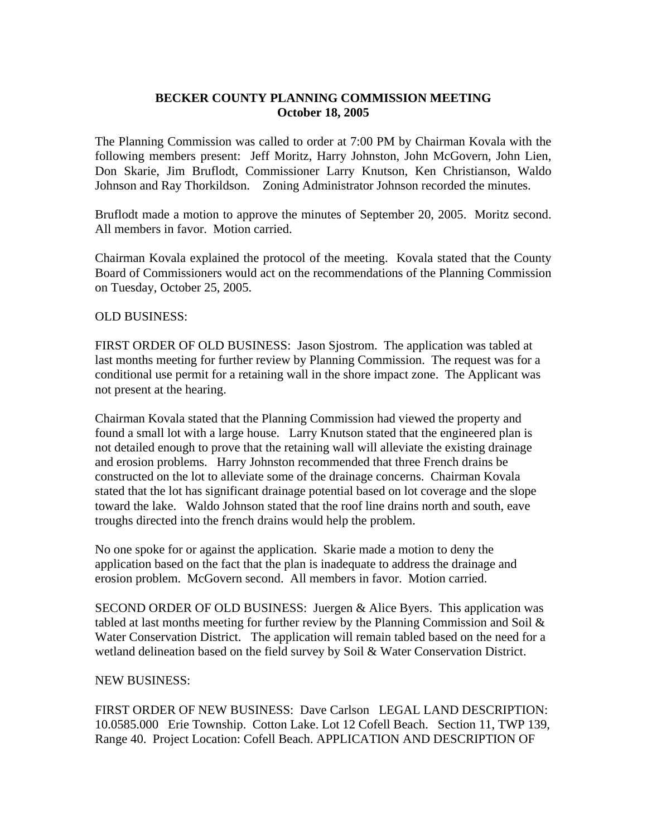## **BECKER COUNTY PLANNING COMMISSION MEETING October 18, 2005**

The Planning Commission was called to order at 7:00 PM by Chairman Kovala with the following members present: Jeff Moritz, Harry Johnston, John McGovern, John Lien, Don Skarie, Jim Bruflodt, Commissioner Larry Knutson, Ken Christianson, Waldo Johnson and Ray Thorkildson. Zoning Administrator Johnson recorded the minutes.

Bruflodt made a motion to approve the minutes of September 20, 2005. Moritz second. All members in favor. Motion carried.

Chairman Kovala explained the protocol of the meeting. Kovala stated that the County Board of Commissioners would act on the recommendations of the Planning Commission on Tuesday, October 25, 2005.

## OLD BUSINESS:

FIRST ORDER OF OLD BUSINESS: Jason Sjostrom. The application was tabled at last months meeting for further review by Planning Commission. The request was for a conditional use permit for a retaining wall in the shore impact zone. The Applicant was not present at the hearing.

Chairman Kovala stated that the Planning Commission had viewed the property and found a small lot with a large house. Larry Knutson stated that the engineered plan is not detailed enough to prove that the retaining wall will alleviate the existing drainage and erosion problems. Harry Johnston recommended that three French drains be constructed on the lot to alleviate some of the drainage concerns. Chairman Kovala stated that the lot has significant drainage potential based on lot coverage and the slope toward the lake. Waldo Johnson stated that the roof line drains north and south, eave troughs directed into the french drains would help the problem.

No one spoke for or against the application. Skarie made a motion to deny the application based on the fact that the plan is inadequate to address the drainage and erosion problem. McGovern second. All members in favor. Motion carried.

SECOND ORDER OF OLD BUSINESS: Juergen & Alice Byers. This application was tabled at last months meeting for further review by the Planning Commission and Soil  $\&$ Water Conservation District. The application will remain tabled based on the need for a wetland delineation based on the field survey by Soil & Water Conservation District.

## NEW BUSINESS:

FIRST ORDER OF NEW BUSINESS: Dave Carlson LEGAL LAND DESCRIPTION: 10.0585.000 Erie Township. Cotton Lake. Lot 12 Cofell Beach. Section 11, TWP 139, Range 40. Project Location: Cofell Beach. APPLICATION AND DESCRIPTION OF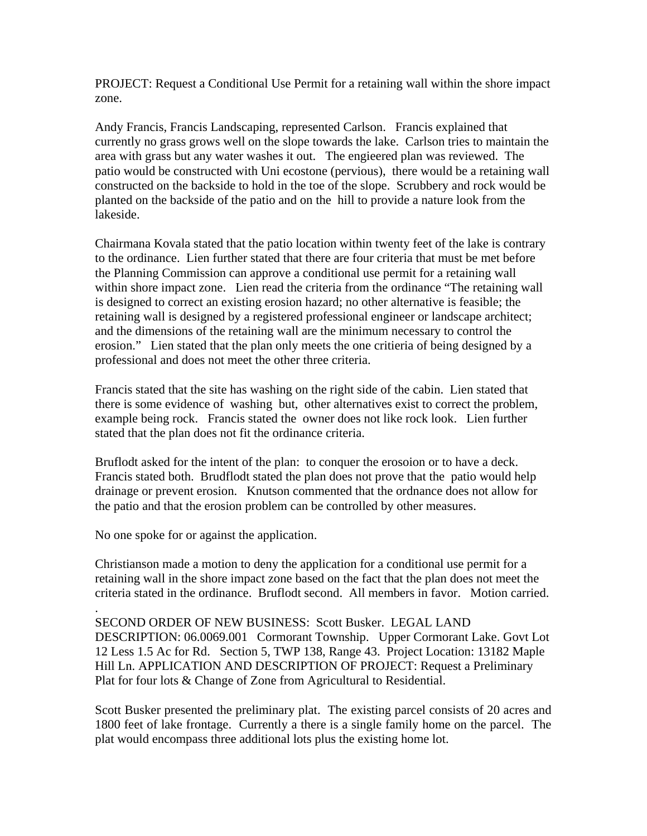PROJECT: Request a Conditional Use Permit for a retaining wall within the shore impact zone.

Andy Francis, Francis Landscaping, represented Carlson. Francis explained that currently no grass grows well on the slope towards the lake. Carlson tries to maintain the area with grass but any water washes it out. The engieered plan was reviewed. The patio would be constructed with Uni ecostone (pervious), there would be a retaining wall constructed on the backside to hold in the toe of the slope. Scrubbery and rock would be planted on the backside of the patio and on the hill to provide a nature look from the lakeside.

Chairmana Kovala stated that the patio location within twenty feet of the lake is contrary to the ordinance. Lien further stated that there are four criteria that must be met before the Planning Commission can approve a conditional use permit for a retaining wall within shore impact zone. Lien read the criteria from the ordinance "The retaining wall is designed to correct an existing erosion hazard; no other alternative is feasible; the retaining wall is designed by a registered professional engineer or landscape architect; and the dimensions of the retaining wall are the minimum necessary to control the erosion." Lien stated that the plan only meets the one critieria of being designed by a professional and does not meet the other three criteria.

Francis stated that the site has washing on the right side of the cabin. Lien stated that there is some evidence of washing but, other alternatives exist to correct the problem, example being rock. Francis stated the owner does not like rock look. Lien further stated that the plan does not fit the ordinance criteria.

Bruflodt asked for the intent of the plan: to conquer the erosoion or to have a deck. Francis stated both. Brudflodt stated the plan does not prove that the patio would help drainage or prevent erosion. Knutson commented that the ordnance does not allow for the patio and that the erosion problem can be controlled by other measures.

No one spoke for or against the application.

Christianson made a motion to deny the application for a conditional use permit for a retaining wall in the shore impact zone based on the fact that the plan does not meet the criteria stated in the ordinance. Bruflodt second. All members in favor. Motion carried.

. SECOND ORDER OF NEW BUSINESS: Scott Busker. LEGAL LAND DESCRIPTION: 06.0069.001 Cormorant Township. Upper Cormorant Lake. Govt Lot 12 Less 1.5 Ac for Rd. Section 5, TWP 138, Range 43. Project Location: 13182 Maple Hill Ln. APPLICATION AND DESCRIPTION OF PROJECT: Request a Preliminary Plat for four lots & Change of Zone from Agricultural to Residential.

Scott Busker presented the preliminary plat. The existing parcel consists of 20 acres and 1800 feet of lake frontage. Currently a there is a single family home on the parcel. The plat would encompass three additional lots plus the existing home lot.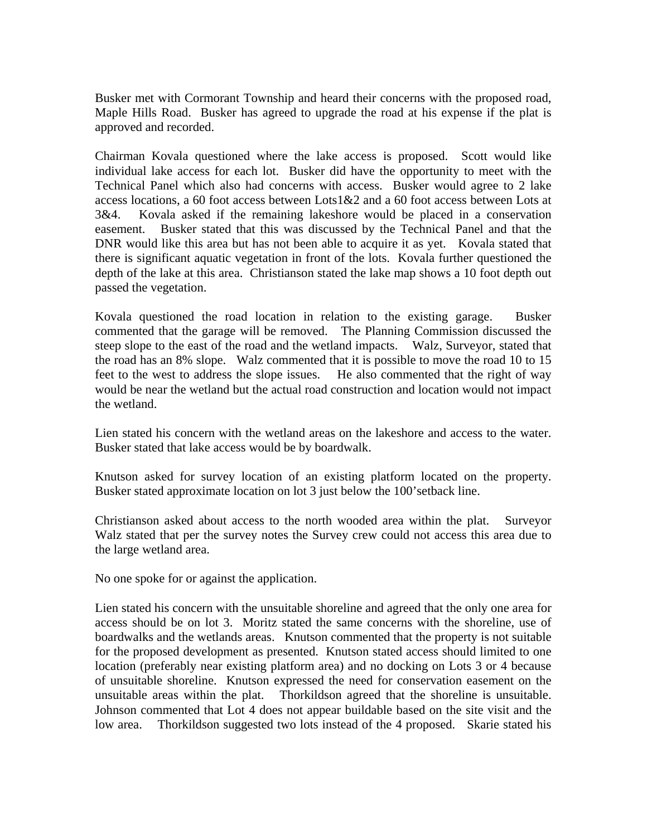Busker met with Cormorant Township and heard their concerns with the proposed road, Maple Hills Road. Busker has agreed to upgrade the road at his expense if the plat is approved and recorded.

Chairman Kovala questioned where the lake access is proposed. Scott would like individual lake access for each lot. Busker did have the opportunity to meet with the Technical Panel which also had concerns with access. Busker would agree to 2 lake access locations, a 60 foot access between Lots1&2 and a 60 foot access between Lots at 3&4. Kovala asked if the remaining lakeshore would be placed in a conservation easement. Busker stated that this was discussed by the Technical Panel and that the DNR would like this area but has not been able to acquire it as yet. Kovala stated that there is significant aquatic vegetation in front of the lots. Kovala further questioned the depth of the lake at this area. Christianson stated the lake map shows a 10 foot depth out passed the vegetation.

Kovala questioned the road location in relation to the existing garage. Busker commented that the garage will be removed. The Planning Commission discussed the steep slope to the east of the road and the wetland impacts. Walz, Surveyor, stated that the road has an 8% slope. Walz commented that it is possible to move the road 10 to 15 feet to the west to address the slope issues. He also commented that the right of way would be near the wetland but the actual road construction and location would not impact the wetland.

Lien stated his concern with the wetland areas on the lakeshore and access to the water. Busker stated that lake access would be by boardwalk.

Knutson asked for survey location of an existing platform located on the property. Busker stated approximate location on lot 3 just below the 100'setback line.

Christianson asked about access to the north wooded area within the plat. Surveyor Walz stated that per the survey notes the Survey crew could not access this area due to the large wetland area.

No one spoke for or against the application.

Lien stated his concern with the unsuitable shoreline and agreed that the only one area for access should be on lot 3. Moritz stated the same concerns with the shoreline, use of boardwalks and the wetlands areas. Knutson commented that the property is not suitable for the proposed development as presented. Knutson stated access should limited to one location (preferably near existing platform area) and no docking on Lots 3 or 4 because of unsuitable shoreline. Knutson expressed the need for conservation easement on the unsuitable areas within the plat. Thorkildson agreed that the shoreline is unsuitable. Johnson commented that Lot 4 does not appear buildable based on the site visit and the low area. Thorkildson suggested two lots instead of the 4 proposed. Skarie stated his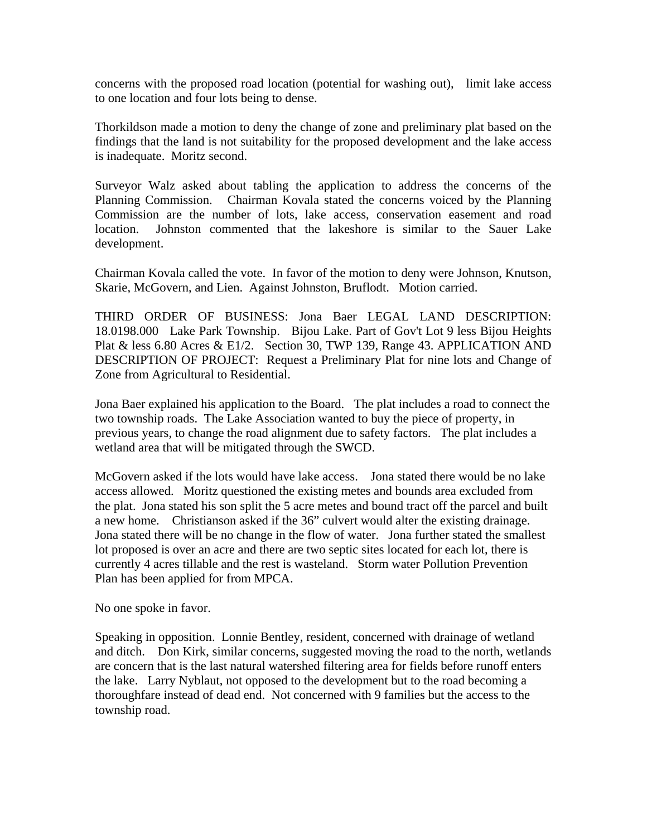concerns with the proposed road location (potential for washing out), limit lake access to one location and four lots being to dense.

Thorkildson made a motion to deny the change of zone and preliminary plat based on the findings that the land is not suitability for the proposed development and the lake access is inadequate. Moritz second.

Surveyor Walz asked about tabling the application to address the concerns of the Planning Commission. Chairman Kovala stated the concerns voiced by the Planning Commission are the number of lots, lake access, conservation easement and road location. Johnston commented that the lakeshore is similar to the Sauer Lake development.

Chairman Kovala called the vote. In favor of the motion to deny were Johnson, Knutson, Skarie, McGovern, and Lien. Against Johnston, Bruflodt. Motion carried.

THIRD ORDER OF BUSINESS: Jona Baer LEGAL LAND DESCRIPTION: 18.0198.000 Lake Park Township. Bijou Lake. Part of Gov't Lot 9 less Bijou Heights Plat & less 6.80 Acres & E1/2. Section 30, TWP 139, Range 43. APPLICATION AND DESCRIPTION OF PROJECT: Request a Preliminary Plat for nine lots and Change of Zone from Agricultural to Residential.

Jona Baer explained his application to the Board. The plat includes a road to connect the two township roads. The Lake Association wanted to buy the piece of property, in previous years, to change the road alignment due to safety factors. The plat includes a wetland area that will be mitigated through the SWCD.

McGovern asked if the lots would have lake access. Jona stated there would be no lake access allowed. Moritz questioned the existing metes and bounds area excluded from the plat. Jona stated his son split the 5 acre metes and bound tract off the parcel and built a new home. Christianson asked if the 36" culvert would alter the existing drainage. Jona stated there will be no change in the flow of water. Jona further stated the smallest lot proposed is over an acre and there are two septic sites located for each lot, there is currently 4 acres tillable and the rest is wasteland. Storm water Pollution Prevention Plan has been applied for from MPCA.

No one spoke in favor.

Speaking in opposition. Lonnie Bentley, resident, concerned with drainage of wetland and ditch. Don Kirk, similar concerns, suggested moving the road to the north, wetlands are concern that is the last natural watershed filtering area for fields before runoff enters the lake. Larry Nyblaut, not opposed to the development but to the road becoming a thoroughfare instead of dead end. Not concerned with 9 families but the access to the township road.